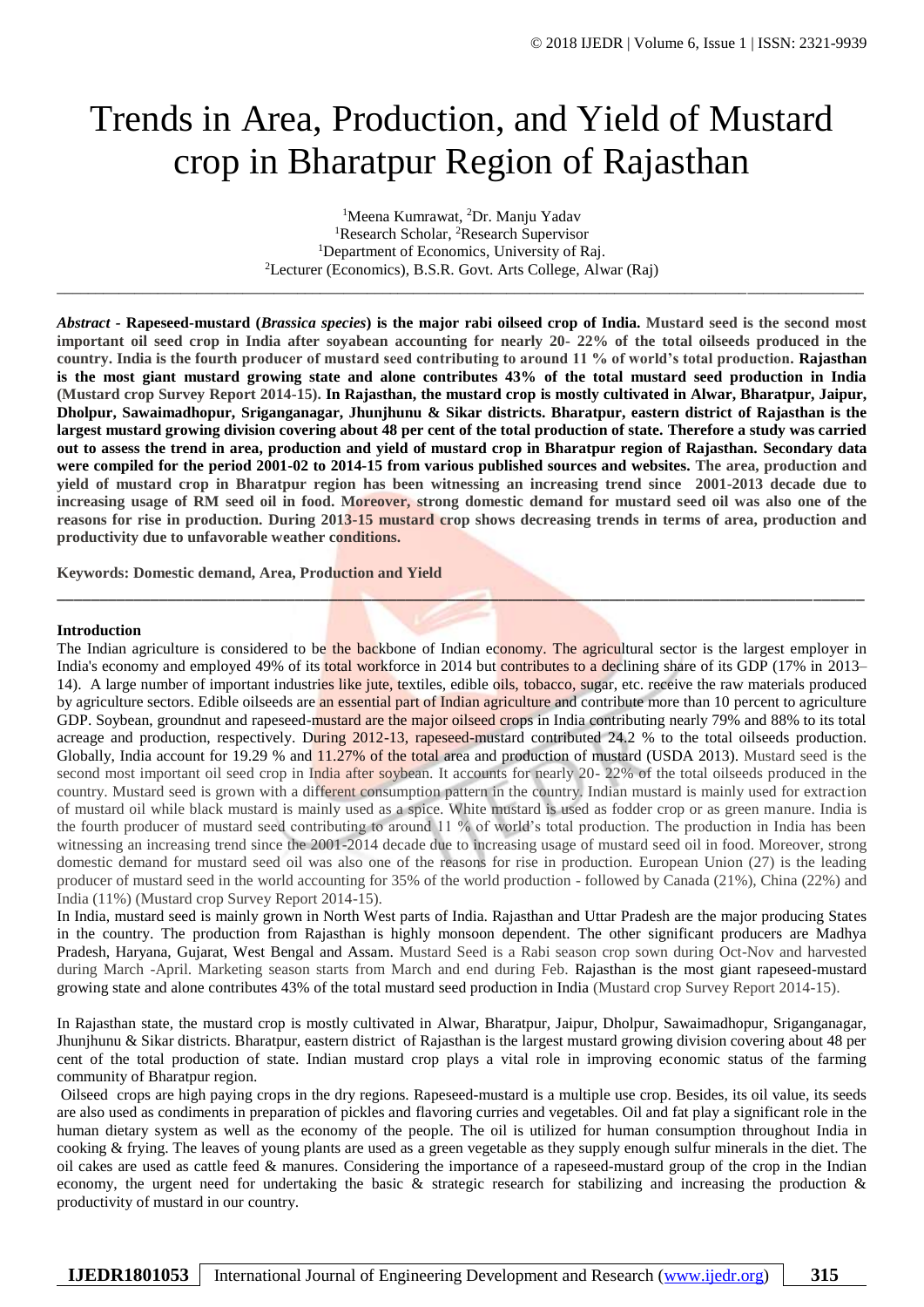# Trends in Area, Production, and Yield of Mustard crop in Bharatpur Region of Rajasthan

<sup>1</sup>Meena Kumrawat, <sup>2</sup>Dr. Manju Yadav <sup>1</sup>Research Scholar, <sup>2</sup>Research Supervisor <sup>1</sup>Department of Economics, University of Raj. <sup>2</sup>Lecturer (Economics), B.S.R. Govt. Arts College, Alwar (Raj)

\_\_\_\_\_\_\_\_\_\_\_\_\_\_\_\_\_\_\_\_\_\_\_\_\_\_\_\_\_\_\_\_\_\_\_\_\_\_\_\_\_\_\_\_\_\_\_\_\_\_\_\_\_\_\_\_\_\_\_\_\_\_\_\_\_\_\_\_\_\_\_\_\_\_\_\_\_\_\_\_\_\_\_\_\_\_\_\_\_\_\_\_\_\_\_\_\_\_\_\_\_\_\_\_

*Abstract -* **Rapeseed-mustard (***Brassica species***) is the major rabi oilseed crop of India. Mustard seed is the second most important oil seed crop in India after soyabean accounting for nearly 20- 22% of the total oilseeds produced in the country. India is the fourth producer of mustard seed contributing to around 11 % of world's total production. Rajasthan is the most giant mustard growing state and alone contributes 43% of the total mustard seed production in India (Mustard crop Survey Report 2014-15). In Rajasthan, the mustard crop is mostly cultivated in Alwar, Bharatpur, Jaipur, Dholpur, Sawaimadhopur, Sriganganagar, Jhunjhunu & Sikar districts. Bharatpur, eastern district of Rajasthan is the largest mustard growing division covering about 48 per cent of the total production of state. Therefore a study was carried out to assess the trend in area, production and yield of mustard crop in Bharatpur region of Rajasthan. Secondary data were compiled for the period 2001-02 to 2014-15 from various published sources and websites. The area, production and yield of mustard crop in Bharatpur region has been witnessing an increasing trend since 2001-2013 decade due to increasing usage of RM seed oil in food. Moreover, strong domestic demand for mustard seed oil was also one of the reasons for rise in production. During 2013-15 mustard crop shows decreasing trends in terms of area, production and productivity due to unfavorable weather conditions.**

\_\_\_\_\_\_\_\_\_\_\_\_\_\_\_\_\_\_\_\_\_\_\_\_\_\_\_\_\_\_\_\_\_\_\_\_\_\_\_\_\_\_\_\_\_\_\_\_\_\_\_\_\_\_\_\_\_\_\_\_\_\_\_\_\_\_\_\_\_\_\_\_\_\_\_\_\_\_\_\_\_\_\_\_\_\_\_\_\_\_\_\_\_\_\_

**Keywords: Domestic demand, Area, Production and Yield** 

#### **Introduction**

The Indian agriculture is considered to be the backbone of Indian economy. The [agricultural sector](https://en.wikipedia.org/wiki/Agricultural_sector) is the largest employer in India's economy and employed 49% of its total workforce in 2014 but contributes to a declining share of its GDP (17% in 2013– 14). A large number of important industries like jute, textiles, edible oils, tobacco, sugar, etc. receive the raw materials produced by agriculture sectors. Edible oilseeds are an essential part of Indian agriculture and contribute more than 10 percent to agriculture GDP. Soybean, groundnut and rapeseed-mustard are the major oilseed crops in India contributing nearly 79% and 88% to its total acreage and production, respectively. During 2012-13, rapeseed-mustard contributed 24.2 % to the total oilseeds production. Globally, India account for 19.29 % and 11.27% of the total area and production of mustard (USDA 2013). Mustard seed is the second most important oil seed crop in India after soybean. It accounts for nearly 20-22% of the total oilseeds produced in the country. Mustard seed is grown with a different consumption pattern in the country. Indian mustard is mainly used for extraction of mustard oil while black mustard is mainly used as a spice. White mustard is used as fodder crop or as green manure. India is the fourth producer of mustard seed contributing to around 11 % of world's total production. The production in India has been witnessing an increasing trend since the 2001-2014 decade due to increasing usage of mustard seed oil in food. Moreover, strong domestic demand for mustard seed oil was also one of the reasons for rise in production. European Union (27) is the leading producer of mustard seed in the world accounting for 35% of the world production - followed by Canada (21%), China (22%) and India (11%) (Mustard crop Survey Report 2014-15).

In India, mustard seed is mainly grown in North West parts of India. Rajasthan and Uttar Pradesh are the major producing States in the country. The production from Rajasthan is highly monsoon dependent. The other significant producers are Madhya Pradesh, Haryana, Gujarat, West Bengal and Assam. Mustard Seed is a Rabi season crop sown during Oct-Nov and harvested during March -April. Marketing season starts from March and end during Feb. Rajasthan is the most giant rapeseed-mustard growing state and alone contributes 43% of the total mustard seed production in India (Mustard crop Survey Report 2014-15).

In Rajasthan state, the mustard crop is mostly cultivated in Alwar, Bharatpur, Jaipur, Dholpur, Sawaimadhopur, Sriganganagar, Jhunjhunu & Sikar districts. Bharatpur, eastern district of Rajasthan is the largest mustard growing division covering about 48 per cent of the total production of state. Indian mustard crop plays a vital role in improving economic status of the farming community of Bharatpur region.

Oilseed crops are high paying crops in the dry regions. Rapeseed-mustard is a multiple use crop. Besides, its oil value, its seeds are also used as condiments in preparation of pickles and flavoring curries and vegetables. Oil and fat play a significant role in the human dietary system as well as the economy of the people. The oil is utilized for human consumption throughout India in cooking & frying. The leaves of young plants are used as a green vegetable as they supply enough sulfur minerals in the diet. The oil cakes are used as cattle feed & manures. Considering the importance of a rapeseed-mustard group of the crop in the Indian economy, the urgent need for undertaking the basic & strategic research for stabilizing and increasing the production & productivity of mustard in our country.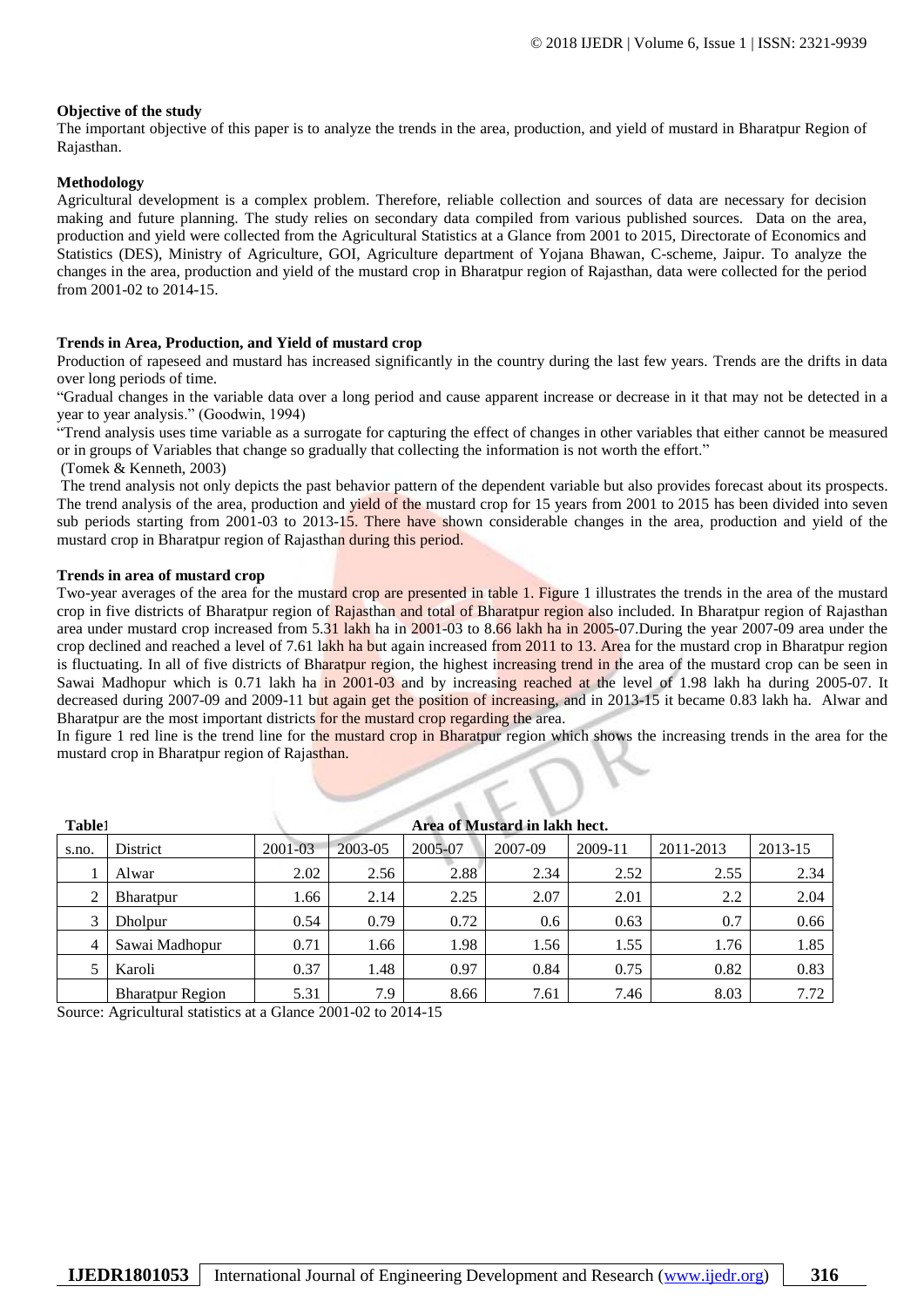# **Objective of the study**

The important objective of this paper is to analyze the trends in the area, production, and yield of mustard in Bharatpur Region of Rajasthan.

## **Methodology**

Agricultural development is a complex problem. Therefore, reliable collection and sources of data are necessary for decision making and future planning. The study relies on secondary data compiled from various published sources. Data on the area, production and yield were collected from the Agricultural Statistics at a Glance from 2001 to 2015, Directorate of Economics and Statistics (DES), Ministry of Agriculture, GOI, Agriculture department of Yojana Bhawan, C-scheme, Jaipur. To analyze the changes in the area, production and yield of the mustard crop in Bharatpur region of Rajasthan, data were collected for the period from 2001-02 to 2014-15.

#### **Trends in Area, Production, and Yield of mustard crop**

Production of rapeseed and mustard has increased significantly in the country during the last few years. Trends are the drifts in data over long periods of time.

"Gradual changes in the variable data over a long period and cause apparent increase or decrease in it that may not be detected in a year to year analysis." (Goodwin, 1994)

"Trend analysis uses time variable as a surrogate for capturing the effect of changes in other variables that either cannot be measured or in groups of Variables that change so gradually that collecting the information is not worth the effort."

(Tomek & Kenneth, 2003)

The trend analysis not only depicts the past behavior pattern of the dependent variable but also provides forecast about its prospects. The trend analysis of the area, production and yield of the mustard crop for 15 years from 2001 to 2015 has been divided into seven sub periods starting from 2001-03 to 2013-15. There have shown considerable changes in the area, production and yield of the mustard crop in Bharatpur region of Rajasthan during this period.

#### **Trends in area of mustard crop**

Two-year averages of the area for the mustard crop are presented in table 1. Figure 1 illustrates the trends in the area of the mustard crop in five districts of Bharatpur region of Rajasthan and total of Bharatpur region also included. In Bharatpur region of Rajasthan area under mustard crop increased from 5.31 lakh ha in 2001-03 to 8.66 lakh ha in 2005-07.During the year 2007-09 area under the crop declined and reached a level of 7.61 lakh ha but again increased from 2011 to 13. Area for the mustard crop in Bharatpur region is fluctuating. In all of five districts of Bharatpur region, the highest increasing trend in the area of the mustard crop can be seen in Sawai Madhopur which is 0.71 lakh ha in 2001-03 and by increasing reached at the level of 1.98 lakh ha during 2005-07. It decreased during 2007-09 and 2009-11 but again get the position of increasing, and in 2013-15 it became 0.83 lakh ha. Alwar and Bharatpur are the most important districts for the mustard crop regarding the area.

In figure 1 red line is the trend line for the mustard crop in Bharatpur region which shows the increasing trends in the area for the mustard crop in Bharatpur region of Rajasthan.

| Table1 |                         |         |         |         |         |         |           |         |
|--------|-------------------------|---------|---------|---------|---------|---------|-----------|---------|
| s.no.  | District                | 2001-03 | 2003-05 | 2005-07 | 2007-09 | 2009-11 | 2011-2013 | 2013-15 |
|        | Alwar                   | 2.02    | 2.56    | 2.88    | 2.34    | 2.52    | 2.55      | 2.34    |
| 2      | Bharatpur               | 1.66    | 2.14    | 2.25    | 2.07    | 2.01    | 2.2       | 2.04    |
|        | Dholpur                 | 0.54    | 0.79    | 0.72    | 0.6     | 0.63    | 0.7       | 0.66    |
|        | Sawai Madhopur          | 0.71    | 1.66    | 1.98    | 1.56    | 1.55    | 1.76      | 1.85    |
|        | Karoli                  | 0.37    | 1.48    | 0.97    | 0.84    | 0.75    | 0.82      | 0.83    |
|        | <b>Bharatpur Region</b> | 5.31    | 7.9     | 8.66    | 7.61    | 7.46    | 8.03      | 7.72    |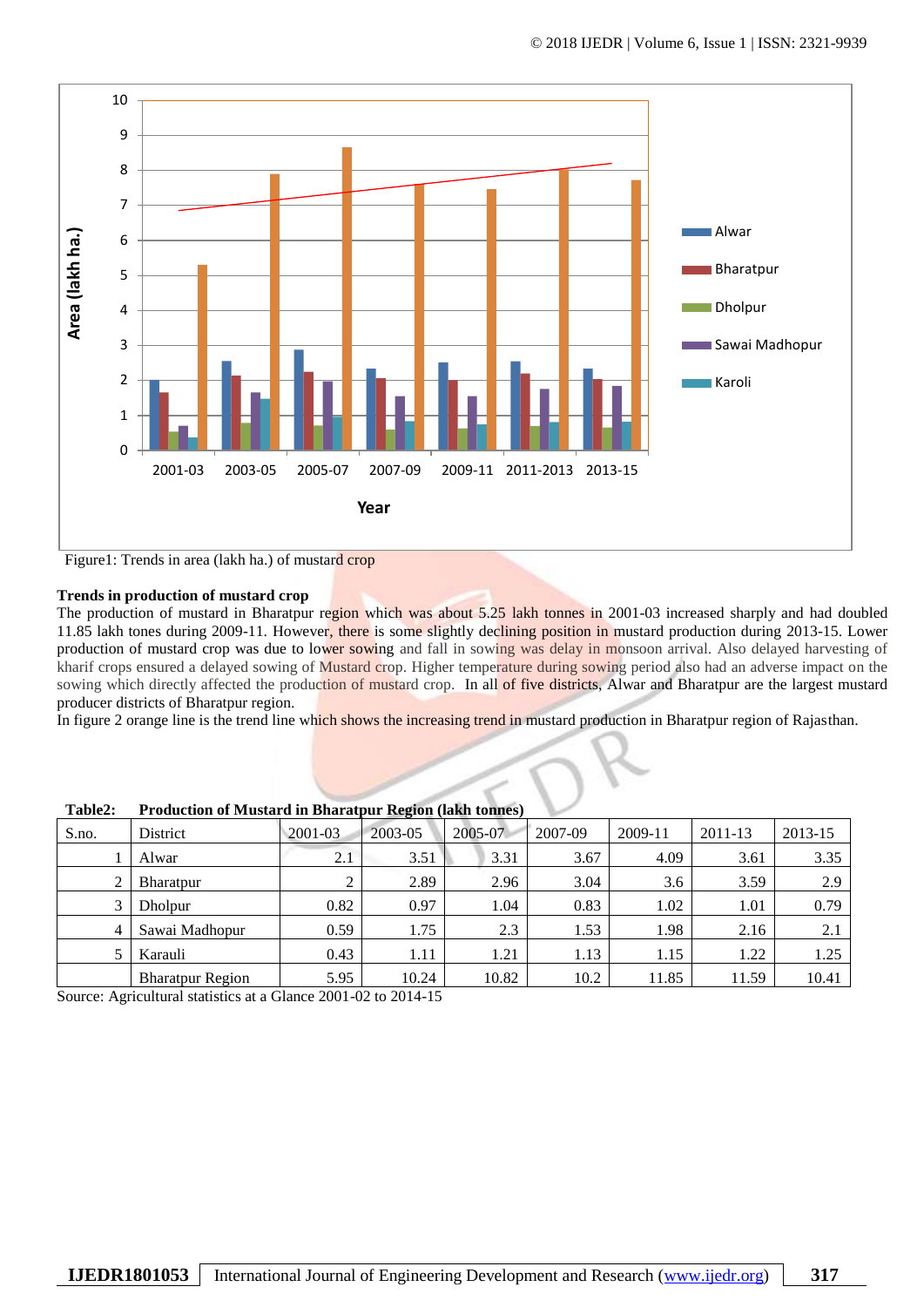

Figure1: Trends in area (lakh ha.) of mustard crop

# **Trends in production of mustard crop**

The production of mustard in Bharatpur region which was about 5.25 lakh tonnes in 2001-03 increased sharply and had doubled 11.85 lakh tones during 2009-11. However, there is some slightly declining position in mustard production during 2013-15. Lower production of mustard crop was due to lower sowing and fall in sowing was delay in monsoon arrival. Also delayed harvesting of kharif crops ensured a delayed sowing of Mustard crop. Higher temperature during sowing period also had an adverse impact on the sowing which directly affected the production of mustard crop. In all of five districts, Alwar and Bharatpur are the largest mustard producer districts of Bharatpur region.

In figure 2 orange line is the trend line which shows the increasing trend in mustard production in Bharatpur region of Rajasthan.

| ravicz.<br>I Touuchon of Mustaru III Dharatpur Kegion (fakir tonnes) |             |         |         |         |         |         |         |  |  |  |
|----------------------------------------------------------------------|-------------|---------|---------|---------|---------|---------|---------|--|--|--|
| District                                                             | $2001 - 03$ | 2003-05 | 2005-07 | 2007-09 | 2009-11 | 2011-13 | 2013-15 |  |  |  |
| Alwar                                                                | 2.1         | 3.51    | 3.31    | 3.67    | 4.09    | 3.61    | 3.35    |  |  |  |
| Bharatpur                                                            |             | 2.89    | 2.96    | 3.04    | 3.6     | 3.59    | 2.9     |  |  |  |
| Dholpur                                                              | 0.82        | 0.97    | 1.04    | 0.83    | 1.02    | 1.01    | 0.79    |  |  |  |
| Sawai Madhopur                                                       | 0.59        | 1.75    | 2.3     | 1.53    | 1.98    | 2.16    | 2.1     |  |  |  |
| Karauli                                                              | 0.43        | 1.11    | 1.21    | 1.13    | 1.15    | 1.22    | 1.25    |  |  |  |
| <b>Bharatpur Region</b>                                              | 5.95        | 10.24   | 10.82   | 10.2    | 11.85   | 11.59   | 10.41   |  |  |  |
|                                                                      |             |         |         |         |         |         |         |  |  |  |

**Table2: Production of Mustard in Bharatpur Region (lakh tonnes)**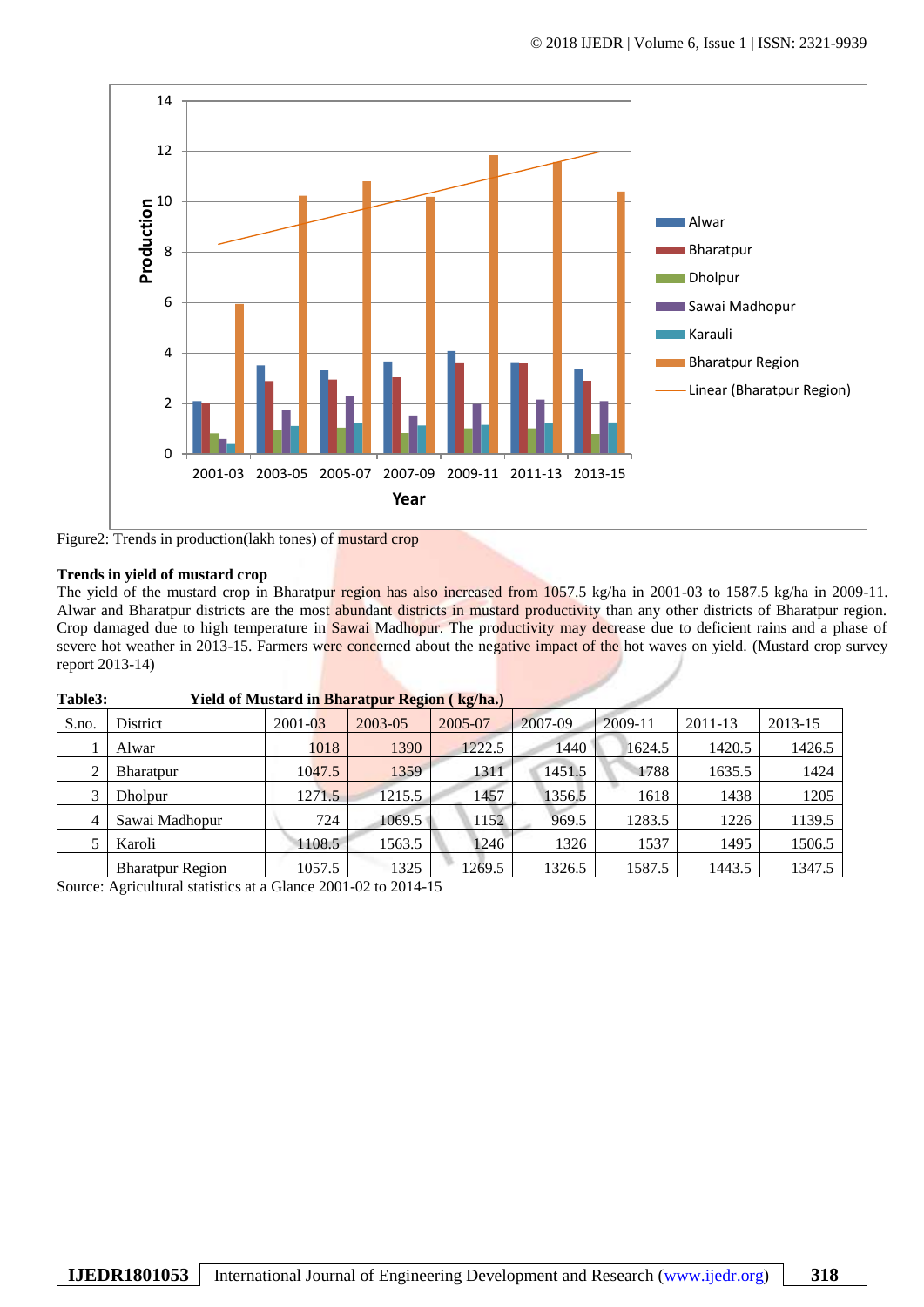

Figure2: Trends in production(lakh tones) of mustard crop

## **Trends in yield of mustard crop**

The yield of the mustard crop in Bharatpur region has also increased from 1057.5 kg/ha in 2001-03 to 1587.5 kg/ha in 2009-11. Alwar and Bharatpur districts are the most abundant districts in mustard productivity than any other districts of Bharatpur region. Crop damaged due to high temperature in Sawai Madhopur. The productivity may decrease due to deficient rains and a phase of severe hot weather in 2013-15. Farmers were concerned about the negative impact of the hot waves on yield. (Mustard crop survey report 2013-14)

| $S.no$ .       | District                | $2001 - 03$ | 2003-05 | 2005-07 | 2007-09 | 2009-11 | 2011-13 | 2013-15 |  |  |
|----------------|-------------------------|-------------|---------|---------|---------|---------|---------|---------|--|--|
|                | Alwar                   | 1018        | 1390    | 1222.5  | 1440    | 1624.5  | 1420.5  | 1426.5  |  |  |
|                | Bharatpur               | 1047.5      | 1359    | 1311    | 1451.5  | 1788    | 1635.5  | 1424    |  |  |
|                | Dholpur                 | 1271.5      | 1215.5  | 1457    | 1356.5  | 1618    | 1438    | 1205    |  |  |
| $\overline{4}$ | Sawai Madhopur          | 724         | 1069.5  | 1152    | 969.5   | 1283.5  | 1226    | 1139.5  |  |  |
|                | Karoli                  | 1108.5      | 1563.5  | 1246    | 1326    | 1537    | 1495    | 1506.5  |  |  |
|                | <b>Bharatpur Region</b> | 1057.5      | 1325    | 1269.5  | 1326.5  | 1587.5  | 1443.5  | 1347.5  |  |  |

**Table3: Yield of Mustard in Bharatpur Region ( kg/ha.)**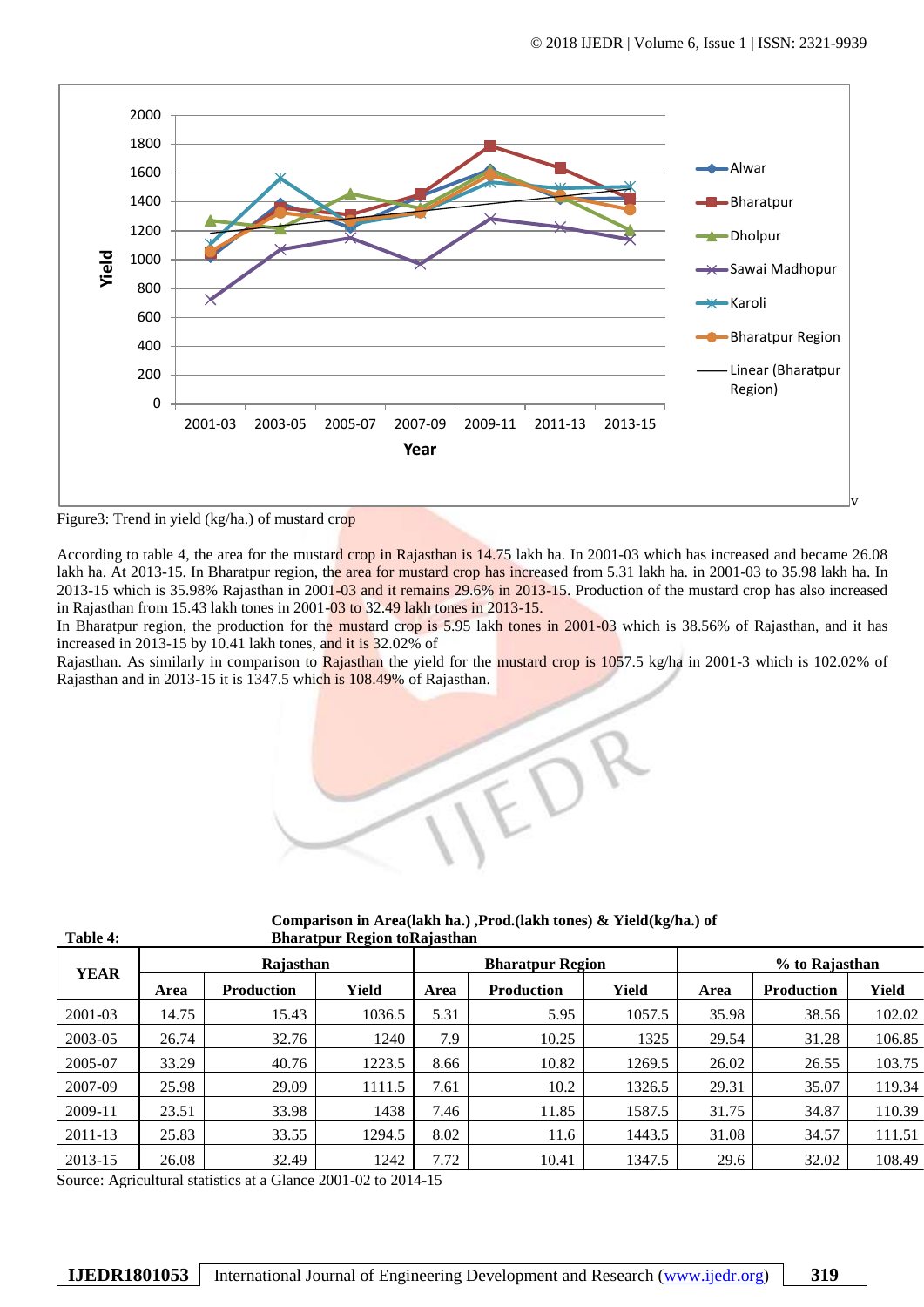

Figure3: Trend in yield (kg/ha.) of mustard crop

**Table 4:**

According to table 4, the area for the mustard crop in Rajasthan is 14.75 lakh ha. In 2001-03 which has increased and became 26.08 lakh ha. At 2013-15. In Bharatpur region, the area for mustard crop has increased from 5.31 lakh ha. in 2001-03 to 35.98 lakh ha. In 2013-15 which is 35.98% Rajasthan in 2001-03 and it remains 29.6% in 2013-15. Production of the mustard crop has also increased in Rajasthan from 15.43 lakh tones in 2001-03 to 32.49 lakh tones in 2013-15.

In Bharatpur region, the production for the mustard crop is 5.95 lakh tones in 2001-03 which is 38.56% of Rajasthan, and it has increased in 2013-15 by 10.41 lakh tones, and it is 32.02% of

Rajasthan. As similarly in comparison to Rajasthan the yield for the mustard crop is 1057.5 kg/ha in 2001-3 which is 102.02% of Rajasthan and in 2013-15 it is 1347.5 which is 108.49% of Rajasthan.



|             |           |            | $\overline{\phantom{a}}$ |      |                         |        |                |                   |        |
|-------------|-----------|------------|--------------------------|------|-------------------------|--------|----------------|-------------------|--------|
| <b>YEAR</b> | Rajasthan |            |                          |      | <b>Bharatpur Region</b> |        | % to Rajasthan |                   |        |
|             | Area      | Production | Yield                    | Area | <b>Production</b>       | Yield  | Area           | <b>Production</b> | Yield  |
| 2001-03     | 14.75     | 15.43      | 1036.5                   | 5.31 | 5.95                    | 1057.5 | 35.98          | 38.56             | 102.02 |
| 2003-05     | 26.74     | 32.76      | 1240                     | 7.9  | 10.25                   | 1325   | 29.54          | 31.28             | 106.85 |
| 2005-07     | 33.29     | 40.76      | 1223.5                   | 8.66 | 10.82                   | 1269.5 | 26.02          | 26.55             | 103.75 |
| 2007-09     | 25.98     | 29.09      | 1111.5                   | 7.61 | 10.2                    | 1326.5 | 29.31          | 35.07             | 119.34 |
| 2009-11     | 23.51     | 33.98      | 1438                     | 7.46 | 11.85                   | 1587.5 | 31.75          | 34.87             | 110.39 |
| 2011-13     | 25.83     | 33.55      | 1294.5                   | 8.02 | 11.6                    | 1443.5 | 31.08          | 34.57             | 111.51 |
| 2013-15     | 26.08     | 32.49      | 1242                     | 7.72 | 10.41                   | 1347.5 | 29.6           | 32.02             | 108.49 |

**Comparison in Area(lakh ha.) ,Prod.(lakh tones) & Yield(kg/ha.) of Bharatpur Region toRajasthan**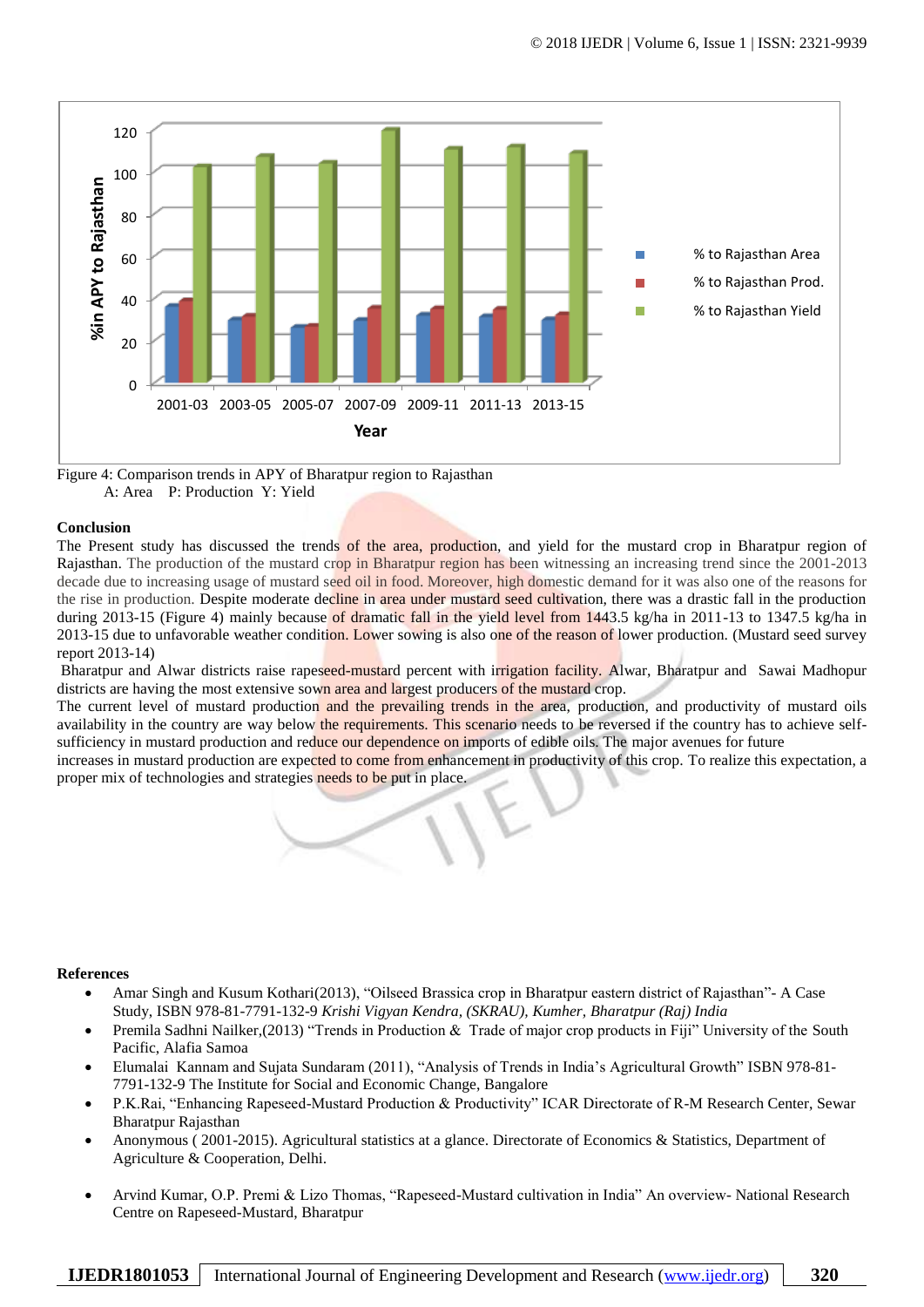

Figure 4: Comparison trends in APY of Bharatpur region to Rajasthan A: Area P: Production Y: Yield

# **Conclusion**

The Present study has discussed the trends of the area, production, and yield for the mustard crop in Bharatpur region of Rajasthan. The production of the mustard crop in Bharatpur region has been witnessing an increasing trend since the 2001-2013 decade due to increasing usage of mustard seed oil in food. Moreover, high domestic demand for it was also one of the reasons for the rise in production. Despite moderate decline in area under mustard seed cultivation, there was a drastic fall in the production during 2013-15 (Figure 4) mainly because of dramatic fall in the yield level from 1443.5 kg/ha in 2011-13 to 1347.5 kg/ha in 2013-15 due to unfavorable weather condition. Lower sowing is also one of the reason of lower production. (Mustard seed survey report 2013-14)

Bharatpur and Alwar districts raise rapeseed-mustard percent with irrigation facility. Alwar, Bharatpur and Sawai Madhopur districts are having the most extensive sown area and largest producers of the mustard crop.

The current level of mustard production and the prevailing trends in the area, production, and productivity of mustard oils availability in the country are way below the requirements. This scenario needs to be reversed if the country has to achieve selfsufficiency in mustard production and reduce our dependence on imports of edible oils. The major avenues for future

increases in mustard production are expected to come from enhancement in productivity of this crop. To realize this expectation, a proper mix of technologies and strategies needs to be put in place.

## **References**

- Amar Singh and Kusum Kothari(2013), "Oilseed Brassica crop in Bharatpur eastern district of Rajasthan"- A Case Study, ISBN 978-81-7791-132-9 *Krishi Vigyan Kendra, (SKRAU), Kumher, Bharatpur (Raj) India*
- Premila Sadhni Nailker,(2013) "Trends in Production & Trade of major crop products in Fiji" University of the South Pacific, Alafia Samoa
- Elumalai Kannam and Sujata Sundaram (2011), "Analysis of Trends in India's Agricultural Growth" ISBN 978-81- 7791-132-9 The Institute for Social and Economic Change, Bangalore
- P.K.Rai, "Enhancing Rapeseed-Mustard Production & Productivity" ICAR Directorate of R-M Research Center, Sewar Bharatpur Rajasthan
- Anonymous ( 2001-2015). Agricultural statistics at a glance. Directorate of Economics & Statistics, Department of Agriculture & Cooperation, Delhi.
- Arvind Kumar, O.P. Premi & Lizo Thomas, "Rapeseed-Mustard cultivation in India" An overview- National Research Centre on Rapeseed-Mustard, Bharatpur